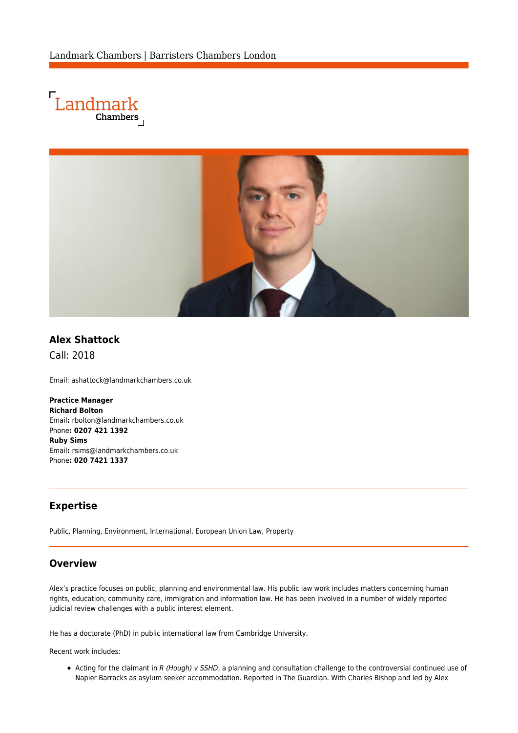



# **Alex Shattock**

Call: 2018

Email: [ashattock@landmarkchambers.co.uk](mailto:ashattock@landmarkchambers.co.uk)

**Practice Manager Richard Bolton** Email**:** [rbolton@landmarkchambers.co.uk](mailto:rbolton@landmarkchambers.co.uk) Phone**: 0207 421 1392 Ruby Sims** Email**:** [rsims@landmarkchambers.co.uk](mailto:rsims@landmarkchambers.co.uk) Phone**: 020 7421 1337**

#### **Expertise**

Public, Planning, Environment, International, European Union Law, Property

#### **Overview**

Alex's practice focuses on public, planning and environmental law. His public law work includes matters concerning human rights, education, community care, immigration and information law. He has been involved in a number of widely reported judicial review challenges with a public interest element.

He has a doctorate (PhD) in public international law from Cambridge University.

Recent work includes:

• Acting for the claimant in R (Hough) v SSHD, a planning and consultation challenge to the controversial continued use of Napier Barracks as asylum seeker accommodation. Reported in [The Guardian](https://www.theguardian.com/uk-news/2021/dec/09/home-office-urged-to-stop-housing-asylum-seekers-in-barracks). With [Charles Bishop](https://www.landmarkchambers.co.uk/people/charles-bishop/) and led by [Alex](https://www.landmarkchambers.co.uk/people/alex-goodman/)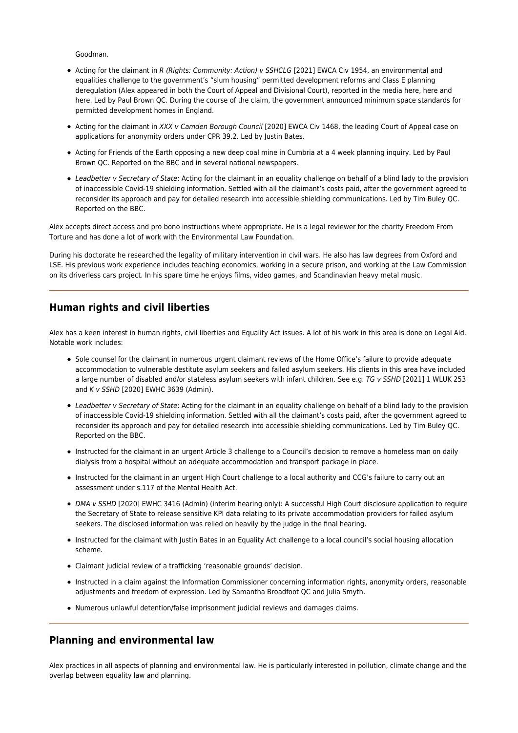[Goodman.](https://www.landmarkchambers.co.uk/people/alex-goodman/)

- Acting for the claimant in R (Rights: Community: Action) v SSHCLG [2021] EWCA Civ 1954, an environmental and equalities challenge to the government's "slum housing" permitted development reforms and Class E planning deregulation (Alex appeared in both the [Court of Appeal](https://www.bailii.org/ew/cases/EWCA/Civ/2021/1954.html) and [Divisional Court\)](https://www.bailii.org/ew/cases/EWHC/Admin/2020/3073.html), reported in the media [here,](https://www.bigissue.com/latest/campaigners-threaten-legal-action-over-planning-reforms/) [here](https://www.insidehousing.co.uk/news/news/legal-challenge-to-be-launched-over-unlawful-permitted-development-rights-expansion-67642) and [here.](https://www.architectsjournal.co.uk/news/government-faces-legal-action-over-permitted-development-rights-2) Led by [Paul Brown QC.](https://www.landmarkchambers.co.uk/people/paul-brown-qc/) During the course of the claim, the government announced [minimum space standards](https://www.architectsjournal.co.uk/news/minimum-space-standards-for-all-permitted-development-homes-government-announces) for permitted development homes in England.
- Acting for the claimant in [XXX v Camden Borough Council](https://www.bailii.org/ew/cases/EWCA/Civ/2020/1468.html) [\[2020\] EWCA Civ 1468,](https://www.bailii.org/ew/cases/EWCA/Civ/2020/1468.html) the leading Court of Appeal case on applications for anonymity orders under CPR 39.2. Led by [Justin Bates.](https://www.landmarkchambers.co.uk/people/justin-bates/)
- Acting for Friends of the Earth opposing a new deep coal mine in Cumbria at a 4 week planning inquiry. Led by [Paul](https://www.landmarkchambers.co.uk/people/paul-brown-qc/) [Brown QC.](https://www.landmarkchambers.co.uk/people/paul-brown-qc/) [Reported on the BBC](https://www.bbc.co.uk/news/explainers-56023895) and in several national newspapers.
- Leadbetter v Secretary of State: Acting for the claimant in an equality challenge on behalf of a blind lady to the provision of inaccessible Covid-19 shielding information. Settled with all the claimant's costs paid, after the government agreed to reconsider its approach and pay for detailed research into accessible shielding communications. Led by [Tim Buley QC.](https://www.landmarkchambers.co.uk/people/tim-buley-qc/) Reported on the [BBC.](https://www.bbc.co.uk/news/uk-england-leicestershire-55922062)

Alex accepts direct access and pro bono instructions where appropriate. He is a legal reviewer for the charity Freedom From Torture and has done a lot of work with the Environmental Law Foundation.

During his doctorate he researched the legality of military intervention in civil wars. He also has law degrees from Oxford and LSE. His previous work experience includes teaching economics, working in a secure prison, and working at the Law Commission on its driverless cars project. In his spare time he enjoys films, video games, and Scandinavian heavy metal music.

### **Human rights and civil liberties**

Alex has a keen interest in human rights, civil liberties and Equality Act issues. A lot of his work in this area is done on Legal Aid. Notable work includes:

- Sole counsel for the claimant in numerous urgent claimant reviews of the Home Office's failure to provide adequate accommodation to vulnerable destitute asylum seekers and failed asylum seekers. His clients in this area have included a large number of disabled and/or stateless asylum seekers with infant children. See e.g. TG v SSHD [2021] 1 WLUK 253 and K v SSHD [2020] EWHC 3639 (Admin).
- Leadbetter v Secretary of State: Acting for the claimant in an equality challenge on behalf of a blind lady to the provision of inaccessible Covid-19 shielding information. Settled with all the claimant's costs paid, after the government agreed to reconsider its approach and pay for detailed research into accessible shielding communications. Led by [Tim Buley QC.](https://www.landmarkchambers.co.uk/people/tim-buley-qc/) Reported on the [BBC.](https://www.bbc.co.uk/news/uk-england-leicestershire-55922062)
- Instructed for the claimant in an urgent Article 3 challenge to a Council's decision to remove a homeless man on daily dialysis from a hospital without an adequate accommodation and transport package in place.
- Instructed for the claimant in an urgent High Court challenge to a local authority and CCG's failure to carry out an assessment under s.117 of the Mental Health Act.
- [DMA v SSHD](https://www.bailii.org/ew/cases/EWHC/Admin/2020/3416.html) [\[2020\] EWHC 3416 \(Admin\)](https://www.bailii.org/ew/cases/EWHC/Admin/2020/3416.html) (interim hearing only): A successful High Court disclosure application to require the Secretary of State to release sensitive KPI data relating to its private accommodation providers for failed asylum seekers. The disclosed information was relied on heavily by the judge in the final hearing.
- Instructed for the claimant with [Justin Bates](https://www.landmarkchambers.co.uk/people/justin-bates/) in an Equality Act challenge to a local council's social housing allocation scheme.
- Claimant judicial review of a trafficking 'reasonable grounds' decision.
- Instructed in a claim against the Information Commissioner concerning information rights, anonymity orders, reasonable adjustments and freedom of expression. Led by [Samantha Broadfoot QC](https://www.landmarkchambers.co.uk/people/samantha-broadfoot-qc/) and [Julia Smyth.](https://www.landmarkchambers.co.uk/people/julia-smyth/)
- Numerous unlawful detention/false imprisonment judicial reviews and damages claims.

# **Planning and environmental law**

Alex practices in all aspects of planning and environmental law. He is particularly interested in pollution, climate change and the overlap between equality law and planning.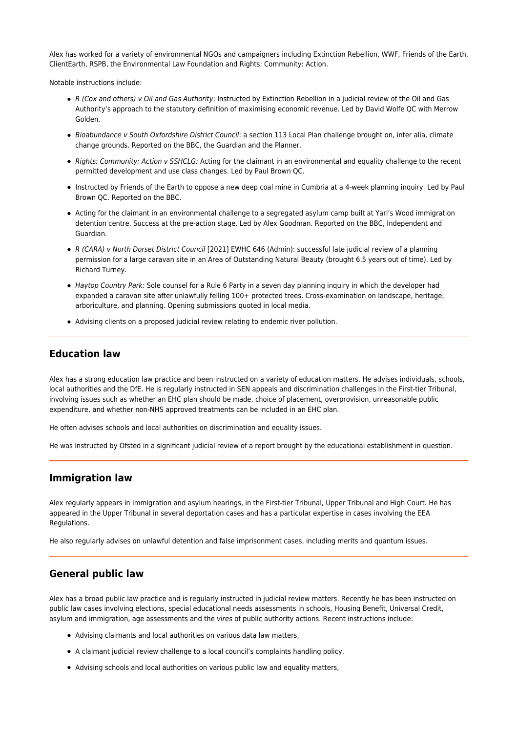Alex has worked for a variety of environmental NGOs and campaigners including Extinction Rebellion, WWF, Friends of the Earth, ClientEarth, RSPB, the Environmental Law Foundation and Rights: Community: Action.

Notable instructions include:

- [R \(Cox and others\) v Oil and Gas Authority](https://www.bailii.org/cgi-bin/format.cgi?doc=/ew/cases/EWHC/Admin/2022/75.html): Instructed by Extinction Rebellion in a judicial review of the Oil and Gas Authority's approach to the statutory definition of maximising economic revenue. Led by David Wolfe QC with Merrow Golden.
- Bioabundance v South Oxfordshire District Council: a section 113 Local Plan challenge brought on, inter alia, climate change grounds. Reported on the [BBC](https://www.bbc.co.uk/news/uk-england-oxfordshire-55825679), the [Guardian](https://www.theguardian.com/politics/2021/jan/28/uk-government-plan-to-build-24000-homes-faces-legal-challenge) and the [Planner](https://www.theplanner.co.uk/news/legal-challenge-launched-against-south-oxfordshire-local-plan).
- Rights: Community: Action v SSHCLG: Acting for the claimant in an environmental and equality challenge to the recent permitted development and use class changes. Led by [Paul Brown QC.](https://www.landmarkchambers.co.uk/people/paul-brown-qc/)
- Instructed by Friends of the Earth to oppose a new deep coal mine in Cumbria at a 4-week planning inquiry. Led by [Paul](https://www.landmarkchambers.co.uk/people/paul-brown-qc/) [Brown QC.](https://www.landmarkchambers.co.uk/people/paul-brown-qc/) Reported on the [BBC](https://www.bbc.co.uk/news/explainers-56023895).
- Acting for the claimant in an environmental challenge to a segregated asylum camp built at Yarl's Wood immigration detention centre. Success at the pre-action stage. Led by [Alex Goodman](https://www.landmarkchambers.co.uk/people/alex-goodman/). Reported on the [BBC](https://www.bbc.co.uk/news/amp/uk-england-beds-bucks-herts-56000320), [Independent](https://www.independent.co.uk/news/uk/home-news/home-office-yarls-wood-asylum-accommodation-b1799758.html) and [Guardian.](https://www.theguardian.com/uk-news/2021/feb/09/home-office-abandons-plans-for-camp-at-yarls-wood-immigration-removal-centre)
- [R \(CARA\) v North Dorset District Council](https://www.bailii.org/ew/cases/EWHC/Admin/2021/646.html) [\[2021\] EWHC 646 \(Admin\):](https://www.bailii.org/ew/cases/EWHC/Admin/2021/646.html) successful late judicial review of a planning permission for a large caravan site in an Area of Outstanding Natural Beauty (brought 6.5 years out of time). Led by [Richard Turney](https://www.landmarkchambers.co.uk/people/richard-turney/).
- Haytop Country Park: Sole counsel for a Rule 6 Party in a seven day planning inquiry in which the developer had expanded a caravan site after unlawfully felling 100+ protected trees. Cross-examination on landscape, heritage, arboriculture, and planning. Opening submissions quoted in [local media.](https://www.derbytelegraph.co.uk/news/local-news/road-street-lights-concrete-made-4931060)
- Advising clients on a proposed judicial review relating to endemic river pollution.

#### **Education law**

Alex has a strong education law practice and been instructed on a variety of education matters. He advises individuals, schools, local authorities and the DfE. He is regularly instructed in SEN appeals and discrimination challenges in the First-tier Tribunal, involving issues such as whether an EHC plan should be made, choice of placement, overprovision, unreasonable public expenditure, and whether non-NHS approved treatments can be included in an EHC plan.

He often advises schools and local authorities on discrimination and equality issues.

He was instructed by Ofsted in a significant judicial review of a report brought by the educational establishment in question.

#### **Immigration law**

Alex regularly appears in immigration and asylum hearings, in the First-tier Tribunal, Upper Tribunal and High Court. He has appeared in the Upper Tribunal in several deportation cases and has a particular expertise in cases involving the EEA Regulations.

He also regularly advises on unlawful detention and false imprisonment cases, including merits and quantum issues.

#### **General public law**

Alex has a broad public law practice and is regularly instructed in judicial review matters. Recently he has been instructed on public law cases involving elections, special educational needs assessments in schools, Housing Benefit, Universal Credit, asylum and immigration, age assessments and the vires of public authority actions. Recent instructions include:

- Advising claimants and local authorities on various data law matters,
- A claimant judicial review challenge to a local council's complaints handling policy,
- Advising schools and local authorities on various public law and equality matters,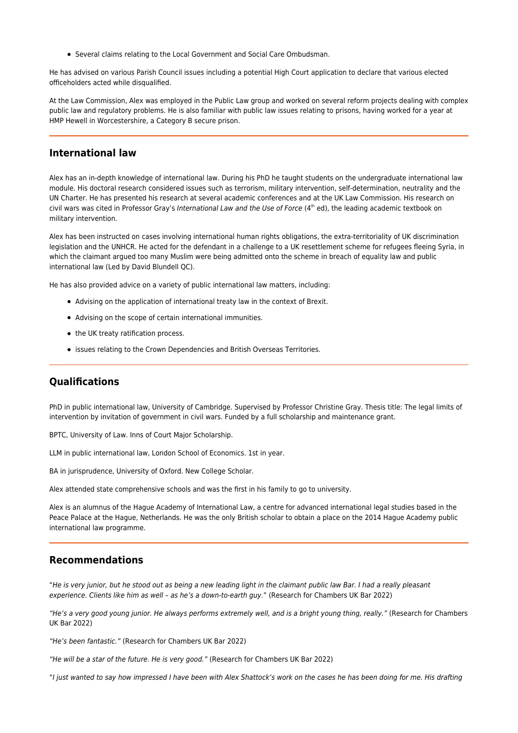Several claims relating to the Local Government and Social Care Ombudsman.

He has advised on various Parish Council issues including a potential High Court application to declare that various elected officeholders acted while disqualified.

At the Law Commission, Alex was employed in the Public Law group and worked on several reform projects dealing with complex public law and regulatory problems. He is also familiar with public law issues relating to prisons, having worked for a year at HMP Hewell in Worcestershire, a Category B secure prison.

#### **International law**

Alex has an in-depth knowledge of international law. During his PhD he taught students on the undergraduate international law module. His doctoral research considered issues such as terrorism, military intervention, self-determination, neutrality and the UN Charter. He has presented his research at several academic conferences and at the UK Law Commission. His research on civil wars was cited in Professor Gray's International Law and the Use of Force  $(4<sup>th</sup>$  ed), the leading academic textbook on military intervention.

Alex has been instructed on cases involving international human rights obligations, the extra-territoriality of UK discrimination legislation and the UNHCR. He acted for the defendant in a challenge to a UK resettlement scheme for refugees fleeing Syria, in which the claimant argued too many Muslim were being admitted onto the scheme in breach of equality law and public international law (Led by [David Blundell QC\)](https://www.landmarkchambers.co.uk/people/david-blundell/).

He has also provided advice on a variety of public international law matters, including:

- Advising on the application of international treaty law in the context of Brexit.
- Advising on the scope of certain international immunities.
- the UK treaty ratification process.
- issues relating to the Crown Dependencies and British Overseas Territories.

#### **Qualifications**

PhD in public international law, University of Cambridge. Supervised by Professor Christine Gray. Thesis title: The legal limits of intervention by invitation of government in civil wars. Funded by a full scholarship and maintenance grant.

BPTC, University of Law. Inns of Court Major Scholarship.

LLM in public international law, London School of Economics. 1st in year.

BA in jurisprudence, University of Oxford. New College Scholar.

Alex attended state comprehensive schools and was the first in his family to go to university.

Alex is an alumnus of the Hague Academy of International Law, a centre for advanced international legal studies based in the Peace Palace at the Hague, Netherlands. He was the only British scholar to obtain a place on the 2014 Hague Academy public international law programme.

#### **Recommendations**

"He is very junior, but he stood out as being a new leading light in the claimant public law Bar. I had a really pleasant experience. Clients like him as well – as he's a down-to-earth guy." (Research for Chambers UK Bar 2022)

"He's a very good young junior. He always performs extremely well, and is a bright young thing, really." (Research for Chambers UK Bar 2022)

"He's been fantastic." (Research for Chambers UK Bar 2022)

"He will be a star of the future. He is very good." (Research for Chambers UK Bar 2022)

"I just wanted to say how impressed I have been with Alex Shattock's work on the cases he has been doing for me. His drafting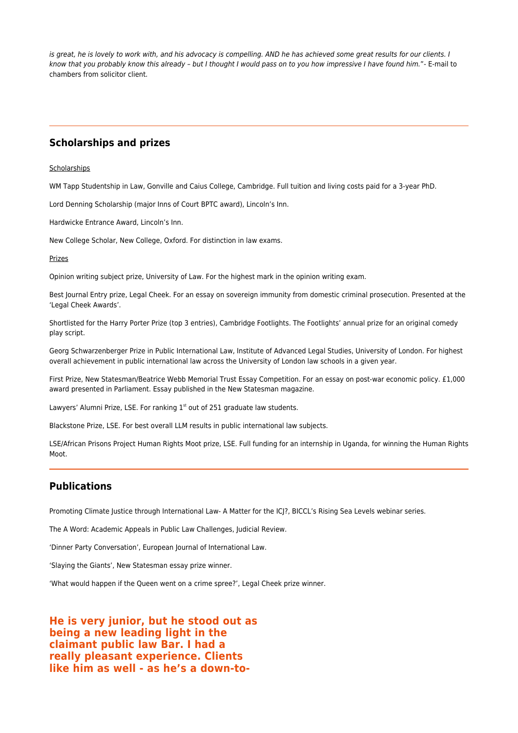is great, he is lovely to work with, and his advocacy is compelling. AND he has achieved some great results for our clients. I know that you probably know this already – but I thought I would pass on to you how impressive I have found him."- E-mail to chambers from solicitor client.

# **Scholarships and prizes**

#### **Scholarships**

WM Tapp Studentship in Law, Gonville and Caius College, Cambridge. Full tuition and living costs paid for a 3-year PhD.

Lord Denning Scholarship (major Inns of Court BPTC award), Lincoln's Inn.

Hardwicke Entrance Award, Lincoln's Inn.

New College Scholar, New College, Oxford. For distinction in law exams.

Prizes

Opinion writing subject prize, University of Law. For the highest mark in the opinion writing exam.

Best Journal Entry prize, Legal Cheek. For an essay on sovereign immunity from domestic criminal prosecution. Presented at the 'Legal Cheek Awards'.

Shortlisted for the Harry Porter Prize (top 3 entries), Cambridge Footlights. The Footlights' annual prize for an original comedy play script.

Georg Schwarzenberger Prize in Public International Law, Institute of Advanced Legal Studies, University of London. For highest overall achievement in public international law across the University of London law schools in a given year.

First Prize, New Statesman/Beatrice Webb Memorial Trust Essay Competition. For an essay on post-war economic policy. £1,000 award presented in Parliament. Essay published in the New Statesman magazine.

Lawyers' Alumni Prize, LSE. For ranking  $1<sup>st</sup>$  out of 251 graduate law students.

Blackstone Prize, LSE. For best overall LLM results in public international law subjects.

LSE/African Prisons Project Human Rights Moot prize, LSE. Full funding for an internship in Uganda, for winning the Human Rights Moot.

# **Publications**

[Promoting Climate Justice through International Law- A Matter for the ICJ?](https://www.landmarkchambers.co.uk/wp-content/uploads/2021/09/10720_rising_sea_levels_episode2_report.pdf), BICCL's Rising Sea Levels webinar series.

[The A Word: Academic Appeals in Public Law Challenges](https://www.tandfonline.com/doi/abs/10.1080/10854681.2019.1701907), Judicial Review.

['Dinner Party Conversation](http://www.ejil.org/article.php?article=2699&issue=133)', European Journal of International Law.

['Slaying the Giants'](https://www.newstatesman.com/politics/2014/02/slaying-giants-poverty-and-unemployment), New Statesman essay prize winner.

['What would happen if the Queen went on a crime spree?',](https://www.legalcheek.com/lc-journal-posts/what-would-happen-if-the-queen-went-on-a-crime-spree/) Legal Cheek prize winner.

**He is very junior, but he stood out as being a new leading light in the claimant public law Bar. I had a really pleasant experience. Clients like him as well - as he's a down-to-**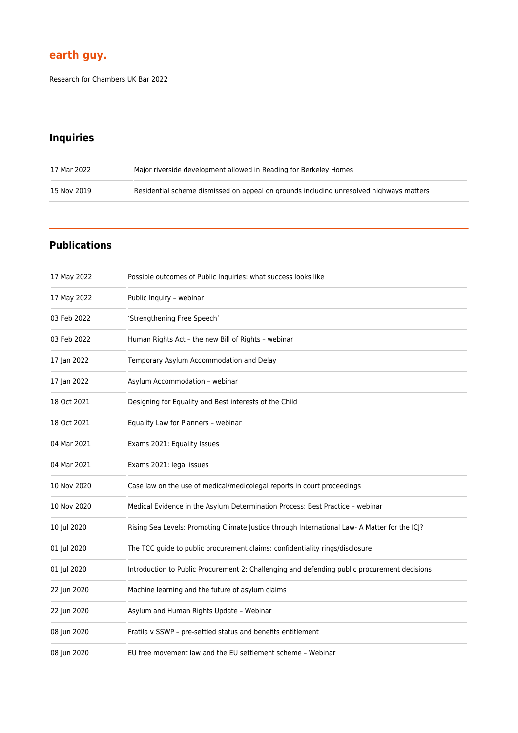# **earth guy.**

Research for Chambers UK Bar 2022

# **Inquiries**

| 17 Mar 2022 | Major riverside development allowed in Reading for Berkeley Homes                       |
|-------------|-----------------------------------------------------------------------------------------|
| 15 Nov 2019 | Residential scheme dismissed on appeal on grounds including unresolved highways matters |

# **Publications**

| 17 May 2022 | Possible outcomes of Public Inquiries: what success looks like                                |
|-------------|-----------------------------------------------------------------------------------------------|
| 17 May 2022 | Public Inquiry - webinar                                                                      |
| 03 Feb 2022 | 'Strengthening Free Speech'                                                                   |
| 03 Feb 2022 | Human Rights Act - the new Bill of Rights - webinar                                           |
| 17 Jan 2022 | Temporary Asylum Accommodation and Delay                                                      |
| 17 Jan 2022 | Asylum Accommodation - webinar                                                                |
| 18 Oct 2021 | Designing for Equality and Best interests of the Child                                        |
| 18 Oct 2021 | Equality Law for Planners - webinar                                                           |
| 04 Mar 2021 | Exams 2021: Equality Issues                                                                   |
| 04 Mar 2021 | Exams 2021: legal issues                                                                      |
| 10 Nov 2020 | Case law on the use of medical/medicolegal reports in court proceedings                       |
| 10 Nov 2020 | Medical Evidence in the Asylum Determination Process: Best Practice - webinar                 |
| 10 Jul 2020 | Rising Sea Levels: Promoting Climate Justice through International Law- A Matter for the ICJ? |
| 01 Jul 2020 | The TCC guide to public procurement claims: confidentiality rings/disclosure                  |
| 01 Jul 2020 | Introduction to Public Procurement 2: Challenging and defending public procurement decisions  |
| 22 Jun 2020 | Machine learning and the future of asylum claims                                              |
| 22 Jun 2020 | Asylum and Human Rights Update - Webinar                                                      |
| 08 Jun 2020 | Fratila v SSWP - pre-settled status and benefits entitlement                                  |
| 08 Jun 2020 | EU free movement law and the EU settlement scheme - Webinar                                   |